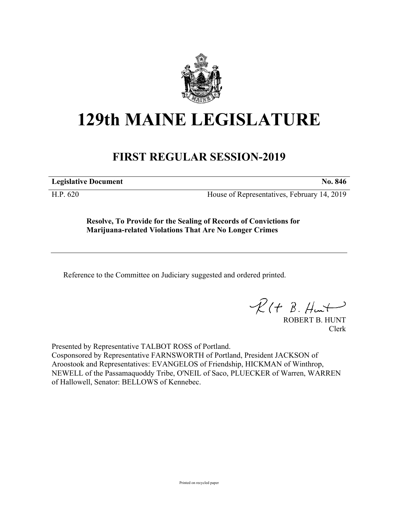

## **129th MAINE LEGISLATURE**

## **FIRST REGULAR SESSION-2019**

**Legislative Document No. 846**

H.P. 620 House of Representatives, February 14, 2019

**Resolve, To Provide for the Sealing of Records of Convictions for Marijuana-related Violations That Are No Longer Crimes**

Reference to the Committee on Judiciary suggested and ordered printed.

 $R(t B. H +$ 

ROBERT B. HUNT Clerk

Presented by Representative TALBOT ROSS of Portland. Cosponsored by Representative FARNSWORTH of Portland, President JACKSON of Aroostook and Representatives: EVANGELOS of Friendship, HICKMAN of Winthrop, NEWELL of the Passamaquoddy Tribe, O'NEIL of Saco, PLUECKER of Warren, WARREN of Hallowell, Senator: BELLOWS of Kennebec.